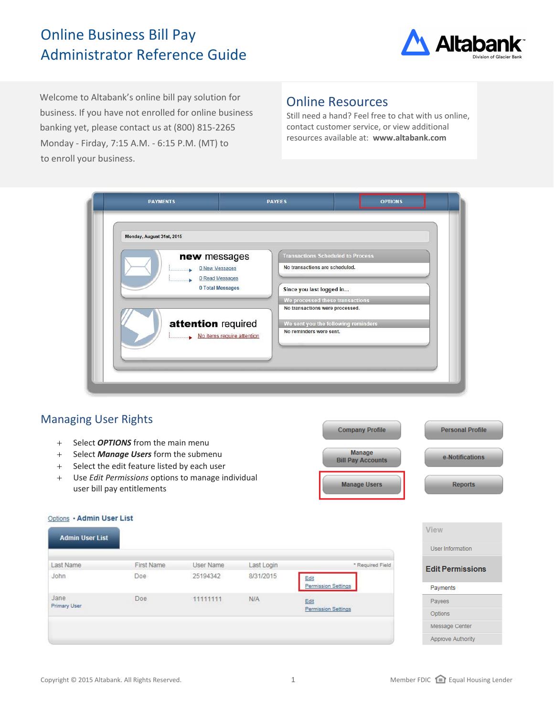# Online Business Bill Pay Administrator Reference Guide



Welcome to Altabank's online bill pay solution for business. If you have not enrolled for online business banking yet, please contact us at (800) 815-2265 Monday - Firday, 7:15 A.M. - 6:15 P.M. (MT) to to enroll your business.

## Online Resources

Still need a hand? Feel free to chat with us online, contact customer service, or view additional resources available at: **www.altabank.com**



## Managing User Rights

Outlassed Administrator Links

- + Select *OPTIONS* from the main menu
- + Select *Manage Users* form the submenu
- + Select the edit feature listed by each user
- + Use *Edit Permissions* options to manage individual user bill pay entitlements

| <b>Company Profile</b>                    | <b>Personal Profile</b> |
|-------------------------------------------|-------------------------|
| <b>Manage</b><br><b>Bill Pay Accounts</b> | e-Notifications         |
| <b>Manage Users</b>                       | <b>Reports</b>          |
|                                           |                         |

| Options • Admin User List<br><b>Admin User List</b> |            |           |                            |                            | <b>View</b>              |
|-----------------------------------------------------|------------|-----------|----------------------------|----------------------------|--------------------------|
|                                                     |            |           |                            |                            | User Information         |
| Last Name                                           | First Name | User Name | Last Login                 | * Required Field           | <b>Edit Permissions</b>  |
| John                                                | Doe        | 25194342  | 8/31/2015                  | Edit                       |                          |
|                                                     |            |           | <b>Permission Settings</b> | Payments                   |                          |
| Jane                                                | Doe        | 11111111  | N/A                        | Edit                       | Payees                   |
| <b>Primary User</b>                                 |            |           |                            | <b>Permission Settings</b> | <b>Options</b>           |
|                                                     |            |           |                            |                            | Message Center           |
|                                                     |            |           |                            |                            | <b>Approve Authority</b> |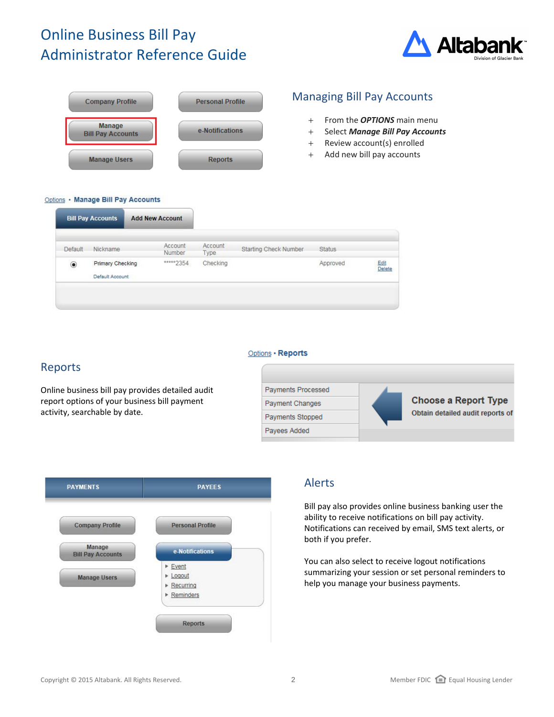# Online Business Bill Pay Administrator Reference Guide





### Managing Bill Pay Accounts

- + From the *OPTIONS* main menu
- + Select *Manage Bill Pay Accounts*
- + Review account(s) enrolled
- + Add new bill pay accounts

#### Options . Manage Bill Pay Accounts

| <b>Default</b>   | Nickname         | Account<br>Number | Account<br>Type | <b>Starting Check Number</b> | <b>Status</b> |                |
|------------------|------------------|-------------------|-----------------|------------------------------|---------------|----------------|
| $\circledbullet$ | Primary Checking | ***** 2354        | Checking        |                              | Approved      | Edit<br>Delete |
|                  | Default Account  |                   |                 |                              |               |                |

#### Options · Reports

#### Reports

Online business bill pay provides detailed audit report options of your business bill payment activity, searchable by date.





#### Alerts

Bill pay also provides online business banking user the ability to receive notifications on bill pay activity. Notifications can received by email, SMS text alerts, or both if you prefer.

You can also select to receive logout notifications summarizing your session or set personal reminders to help you manage your business payments.